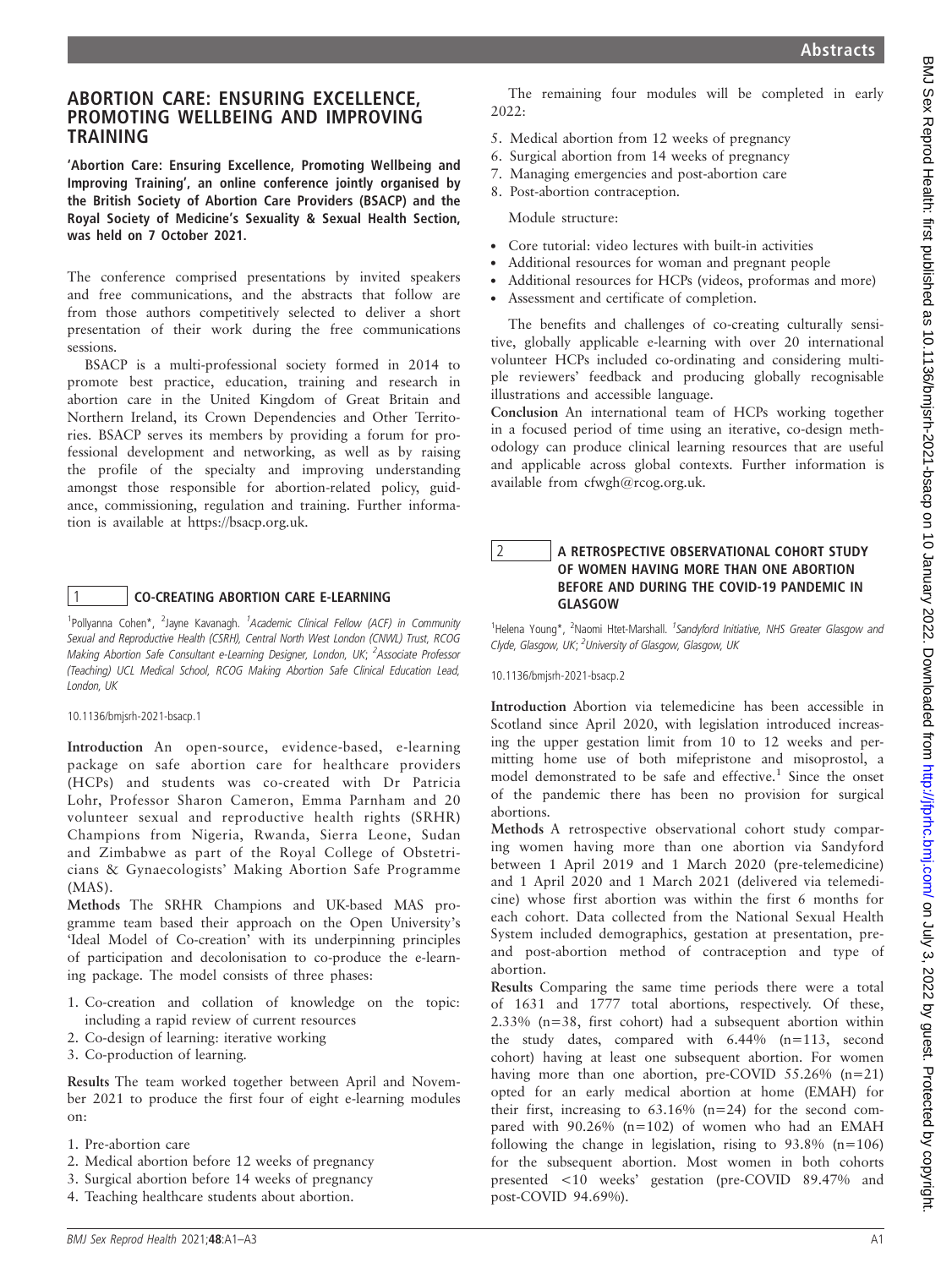# ABORTION CARE: ENSURING EXCELLENCE, PROMOTING WELLBEING AND IMPROVING TRAINING

'Abortion Care: Ensuring Excellence, Promoting Wellbeing and Improving Training', an online conference jointly organised by the British Society of Abortion Care Providers (BSACP) and the Royal Society of Medicine's Sexuality & Sexual Health Section, was held on 7 October 2021.

The conference comprised presentations by invited speakers and free communications, and the abstracts that follow are from those authors competitively selected to deliver a short presentation of their work during the free communications sessions.

BSACP is a multi-professional society formed in 2014 to promote best practice, education, training and research in abortion care in the United Kingdom of Great Britain and Northern Ireland, its Crown Dependencies and Other Territories. BSACP serves its members by providing a forum for professional development and networking, as well as by raising the profile of the specialty and improving understanding amongst those responsible for abortion-related policy, guidance, commissioning, regulation and training. Further information is available at https://bsacp.org.uk.

# 1 CO-CREATING ABORTION CARE E-LEARNING

<sup>1</sup>Pollyanna Cohen\*, <sup>2</sup>Jayne Kavanagh. <sup>1</sup>Academic Clinical Fellow (ACF) in Community Sexual and Reproductive Health (CSRH), Central North West London (CNWL) Trust, RCOG Making Abortion Safe Consultant e-Learning Designer, London, UK; <sup>2</sup>Associate Professor (Teaching) UCL Medical School, RCOG Making Abortion Safe Clinical Education Lead, London, UK

10.1136/bmjsrh-2021-bsacp.1

Introduction An open-source, evidence-based, e-learning package on safe abortion care for healthcare providers (HCPs) and students was co-created with Dr Patricia Lohr, Professor Sharon Cameron, Emma Parnham and 20 volunteer sexual and reproductive health rights (SRHR) Champions from Nigeria, Rwanda, Sierra Leone, Sudan and Zimbabwe as part of the Royal College of Obstetricians & Gynaecologists' Making Abortion Safe Programme (MAS).

Methods The SRHR Champions and UK-based MAS programme team based their approach on the Open University's 'Ideal Model of Co-creation' with its underpinning principles of participation and decolonisation to co-produce the e-learning package. The model consists of three phases:

- 1. Co-creation and collation of knowledge on the topic: including a rapid review of current resources
- 2. Co-design of learning: iterative working
- 3. Co-production of learning.

Results The team worked together between April and November 2021 to produce the first four of eight e-learning modules on:

- 1. Pre-abortion care
- 2. Medical abortion before 12 weeks of pregnancy
- 3. Surgical abortion before 14 weeks of pregnancy
- 4. Teaching healthcare students about abortion.

The remaining four modules will be completed in early 2022:

- 5. Medical abortion from 12 weeks of pregnancy
- 6. Surgical abortion from 14 weeks of pregnancy
- 7. Managing emergencies and post-abortion care
- 8. Post-abortion contraception.

Module structure:

- . Core tutorial: video lectures with built-in activities
- . Additional resources for woman and pregnant people
- . Additional resources for HCPs (videos, proformas and more)
- . Assessment and certificate of completion.

The benefits and challenges of co-creating culturally sensitive, globally applicable e-learning with over 20 international volunteer HCPs included co-ordinating and considering multiple reviewers' feedback and producing globally recognisable illustrations and accessible language.

Conclusion An international team of HCPs working together in a focused period of time using an iterative, co-design methodology can produce clinical learning resources that are useful and applicable across global contexts. Further information is available from cfwgh@rcog.org.uk.

# 2 A RETROSPECTIVE OBSERVATIONAL COHORT STUDY OF WOMEN HAVING MORE THAN ONE ABORTION BEFORE AND DURING THE COVID-19 PANDEMIC IN GLASGOW

<sup>1</sup>Helena Young\*, <sup>2</sup>Naomi Htet-Marshall. <sup>1</sup>Sandyford Initiative, NHS Greater Glasgow and Clyde, Glasgow, UK; <sup>2</sup>University of Glasgow, Glasgow, UK

10.1136/bmjsrh-2021-bsacp.2

Introduction Abortion via telemedicine has been accessible in Scotland since April 2020, with legislation introduced increasing the upper gestation limit from 10 to 12 weeks and permitting home use of both mifepristone and misoprostol, a model demonstrated to be safe and effective.<sup>1</sup> Since the onset of the pandemic there has been no provision for surgical abortions.

Methods A retrospective observational cohort study comparing women having more than one abortion via Sandyford between 1 April 2019 and 1 March 2020 (pre-telemedicine) and 1 April 2020 and 1 March 2021 (delivered via telemedicine) whose first abortion was within the first 6 months for each cohort. Data collected from the National Sexual Health System included demographics, gestation at presentation, preand post-abortion method of contraception and type of abortion.

Results Comparing the same time periods there were a total of 1631 and 1777 total abortions, respectively. Of these, 2.33% (n=38, first cohort) had a subsequent abortion within the study dates, compared with 6.44% (n=113, second cohort) having at least one subsequent abortion. For women having more than one abortion, pre-COVID 55.26% (n=21) opted for an early medical abortion at home (EMAH) for their first, increasing to  $63.16\%$  (n=24) for the second compared with 90.26% (n=102) of women who had an EMAH following the change in legislation, rising to  $93.8\%$  (n=106) for the subsequent abortion. Most women in both cohorts presented <10 weeks' gestation (pre-COVID 89.47% and post-COVID 94.69%).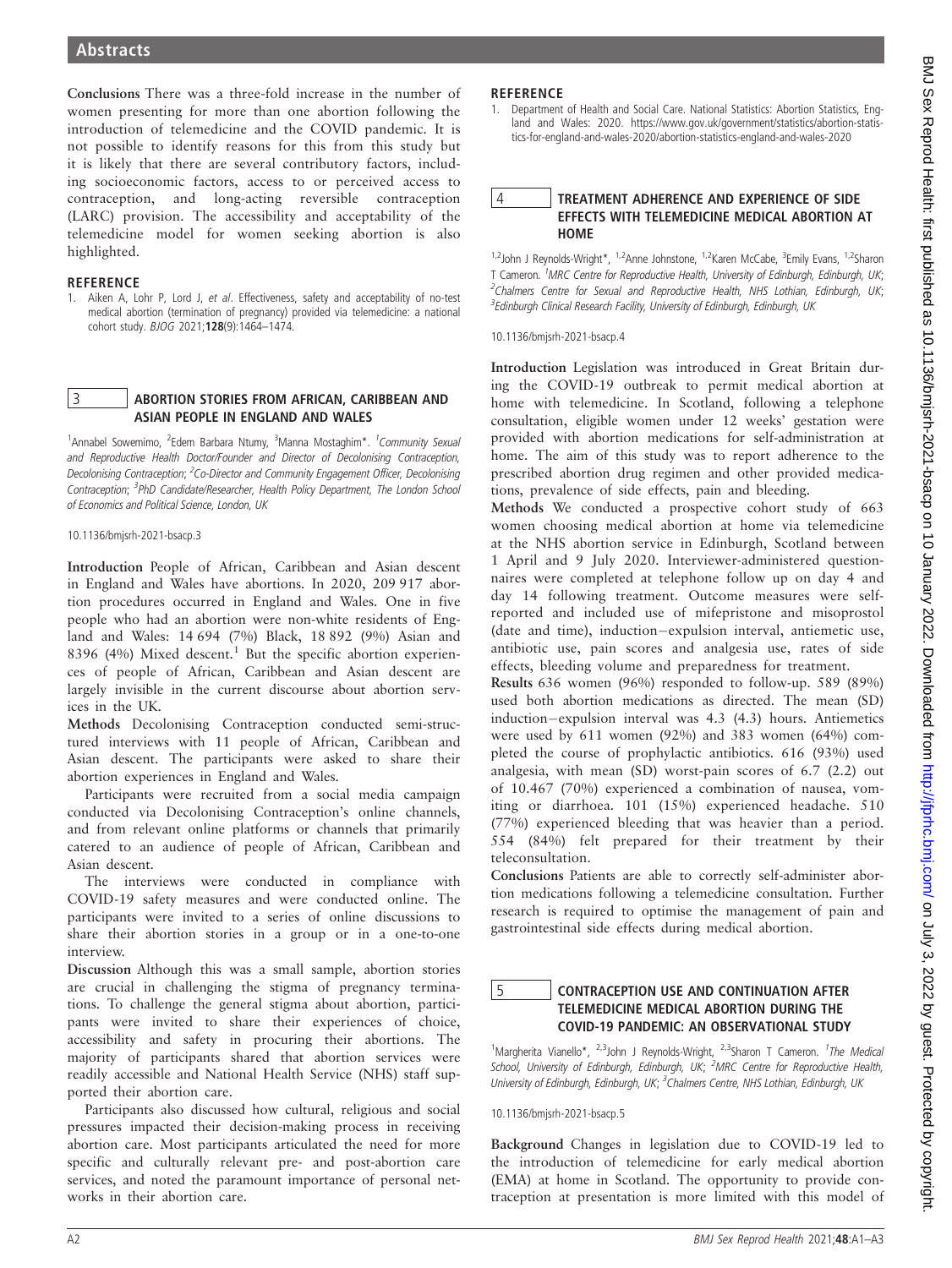Conclusions There was a three-fold increase in the number of women presenting for more than one abortion following the introduction of telemedicine and the COVID pandemic. It is not possible to identify reasons for this from this study but it is likely that there are several contributory factors, including socioeconomic factors, access to or perceived access to contraception, and long-acting reversible contraception (LARC) provision. The accessibility and acceptability of the telemedicine model for women seeking abortion is also highlighted.

#### **REFERENCE**

1. Aiken A, Lohr P, Lord J, et al. Effectiveness, safety and acceptability of no-test medical abortion (termination of pregnancy) provided via telemedicine: a national cohort study. BJOG 2021;128(9):1464–1474.

#### 3 ABORTION STORIES FROM AFRICAN, CARIBBEAN AND ASIAN PEOPLE IN ENGLAND AND WALES

<sup>1</sup>Annabel Sowemimo, <sup>2</sup>Edem Barbara Ntumy, <sup>3</sup>Manna Mostaghim\*. <sup>1</sup>Community Sexual and Reproductive Health Doctor/Founder and Director of Decolonising Contraception, Decolonising Contraception; <sup>2</sup>Co-Director and Community Engagement Officer, Decolonising Contraception; <sup>3</sup>PhD Candidate/Researcher, Health Policy Department, The London School of Economics and Political Science, London, UK

10.1136/bmjsrh-2021-bsacp.3

Introduction People of African, Caribbean and Asian descent in England and Wales have abortions. In 2020, 209 917 abortion procedures occurred in England and Wales. One in five people who had an abortion were non-white residents of England and Wales: 14 694 (7%) Black, 18 892 (9%) Asian and 8396 (4%) Mixed descent.<sup>1</sup> But the specific abortion experiences of people of African, Caribbean and Asian descent are largely invisible in the current discourse about abortion services in the UK.

Methods Decolonising Contraception conducted semi-structured interviews with 11 people of African, Caribbean and Asian descent. The participants were asked to share their abortion experiences in England and Wales.

Participants were recruited from a social media campaign conducted via Decolonising Contraception's online channels, and from relevant online platforms or channels that primarily catered to an audience of people of African, Caribbean and Asian descent.

The interviews were conducted in compliance with COVID-19 safety measures and were conducted online. The participants were invited to a series of online discussions to share their abortion stories in a group or in a one-to-one interview.

Discussion Although this was a small sample, abortion stories are crucial in challenging the stigma of pregnancy terminations. To challenge the general stigma about abortion, participants were invited to share their experiences of choice, accessibility and safety in procuring their abortions. The majority of participants shared that abortion services were readily accessible and National Health Service (NHS) staff supported their abortion care.

Participants also discussed how cultural, religious and social pressures impacted their decision-making process in receiving abortion care. Most participants articulated the need for more specific and culturally relevant pre- and post-abortion care services, and noted the paramount importance of personal networks in their abortion care.

# **REFERENCE**

1. Department of Health and Social Care. National Statistics: Abortion Statistics, England and Wales: 2020. https://www.gov.uk/government/statistics/abortion-statistics-for-england-and-wales-2020/abortion-statistics-england-and-wales-2020

### 4 TREATMENT ADHERENCE AND EXPERIENCE OF SIDE EFFECTS WITH TELEMEDICINE MEDICAL ABORTION AT HOME

<sup>1,2</sup>John J Reynolds-Wright\*, <sup>1,2</sup>Anne Johnstone, <sup>1,2</sup>Karen McCabe, <sup>3</sup>Emily Evans, <sup>1,2</sup>Sharon T Cameron. <sup>1</sup>MRC Centre for Reproductive Health, University of Edinburgh, Edinburgh, UK; <sup>2</sup>Chalmers Centre for Sexual and Reproductive Health, NHS Lothian, Edinburgh, UK; <sup>3</sup> Edinburgh Clinical Research Facility, University of Edinburgh, Edinburgh, UK

10.1136/bmjsrh-2021-bsacp.4

Introduction Legislation was introduced in Great Britain during the COVID-19 outbreak to permit medical abortion at home with telemedicine. In Scotland, following a telephone consultation, eligible women under 12 weeks' gestation were provided with abortion medications for self-administration at home. The aim of this study was to report adherence to the prescribed abortion drug regimen and other provided medications, prevalence of side effects, pain and bleeding.

Methods We conducted a prospective cohort study of 663 women choosing medical abortion at home via telemedicine at the NHS abortion service in Edinburgh, Scotland between 1 April and 9 July 2020. Interviewer-administered questionnaires were completed at telephone follow up on day 4 and day 14 following treatment. Outcome measures were selfreported and included use of mifepristone and misoprostol (date and time), induction-expulsion interval, antiemetic use, antibiotic use, pain scores and analgesia use, rates of side effects, bleeding volume and preparedness for treatment.

Results 636 women (96%) responded to follow-up. 589 (89%) used both abortion medications as directed. The mean (SD)  $induction-expulsion$  interval was  $4.3$   $(4.3)$  hours. Antiemetics were used by 611 women (92%) and 383 women (64%) completed the course of prophylactic antibiotics. 616 (93%) used analgesia, with mean (SD) worst-pain scores of 6.7 (2.2) out of 10.467 (70%) experienced a combination of nausea, vomiting or diarrhoea. 101 (15%) experienced headache. 510 (77%) experienced bleeding that was heavier than a period. 554 (84%) felt prepared for their treatment by their teleconsultation.

Conclusions Patients are able to correctly self-administer abortion medications following a telemedicine consultation. Further research is required to optimise the management of pain and gastrointestinal side effects during medical abortion.

### 5 CONTRACEPTION USE AND CONTINUATION AFTER TELEMEDICINE MEDICAL ABORTION DURING THE COVID-19 PANDEMIC: AN OBSERVATIONAL STUDY

<sup>1</sup>Margherita Vianello\*, <sup>2,3</sup>John J Reynolds-Wright, <sup>2,3</sup>Sharon T Cameron. <sup>1</sup>The Medical School, University of Edinburgh, Edinburgh, UK; <sup>2</sup>MRC Centre for Reproductive Health, University of Edinburgh, Edinburgh, UK; <sup>3</sup>Chalmers Centre, NHS Lothian, Edinburgh, UK

10.1136/bmjsrh-2021-bsacp.5

Background Changes in legislation due to COVID-19 led to the introduction of telemedicine for early medical abortion (EMA) at home in Scotland. The opportunity to provide contraception at presentation is more limited with this model of